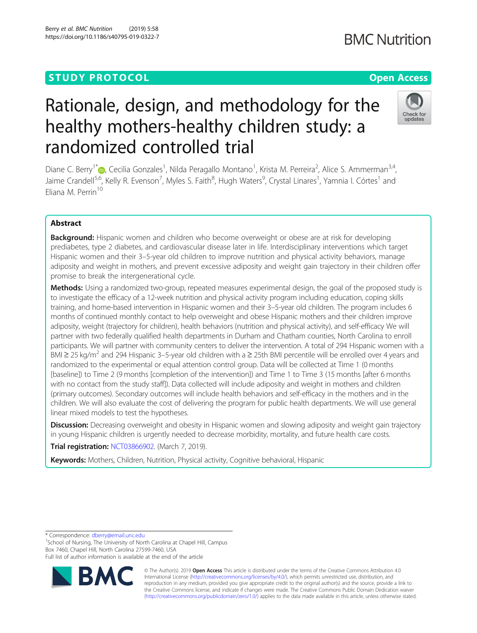## **STUDY PROTOCOL CONSUMING THE RESERVE ACCESS**

# Rationale, design, and methodology for the healthy mothers-healthy children study: a randomized controlled trial

Diane C. Berry<sup>1[\\*](http://orcid.org/0000-0002-3274-0818)</sup> (**D**, Cecilia Gonzales<sup>1</sup>, Nilda Peragallo Montano<sup>1</sup>, Krista M. Perreira<sup>2</sup>, Alice S. Ammerman<sup>3,4</sup>, Jaime Crandell<sup>5,6</sup>, Kelly R. Evenson<sup>7</sup>, Myles S. Faith<sup>8</sup>, Hugh Waters<sup>9</sup>, Crystal Linares<sup>1</sup>, Yamnia I. Córtes<sup>1</sup> and Eliana M. Perrin<sup>10</sup>

## Abstract

**Background:** Hispanic women and children who become overweight or obese are at risk for developing prediabetes, type 2 diabetes, and cardiovascular disease later in life. Interdisciplinary interventions which target Hispanic women and their 3–5-year old children to improve nutrition and physical activity behaviors, manage adiposity and weight in mothers, and prevent excessive adiposity and weight gain trajectory in their children offer promise to break the intergenerational cycle.

Methods: Using a randomized two-group, repeated measures experimental design, the goal of the proposed study is to investigate the efficacy of a 12-week nutrition and physical activity program including education, coping skills training, and home-based intervention in Hispanic women and their 3–5-year old children. The program includes 6 months of continued monthly contact to help overweight and obese Hispanic mothers and their children improve adiposity, weight (trajectory for children), health behaviors (nutrition and physical activity), and self-efficacy We will partner with two federally qualified health departments in Durham and Chatham counties, North Carolina to enroll participants. We will partner with community centers to deliver the intervention. A total of 294 Hispanic women with a BMI  $\geq$  25 kg/m<sup>2</sup> and 294 Hispanic 3–5-year old children with a  $\geq$  25th BMI percentile will be enrolled over 4 years and randomized to the experimental or equal attention control group. Data will be collected at Time 1 (0 months [baseline]) to Time 2 (9 months [completion of the intervention]) and Time 1 to Time 3 (15 months [after 6 months with no contact from the study staff]). Data collected will include adiposity and weight in mothers and children (primary outcomes). Secondary outcomes will include health behaviors and self-efficacy in the mothers and in the children. We will also evaluate the cost of delivering the program for public health departments. We will use general linear mixed models to test the hypotheses.

**Discussion:** Decreasing overweight and obesity in Hispanic women and slowing adiposity and weight gain trajectory in young Hispanic children is urgently needed to decrease morbidity, mortality, and future health care costs.

**Trial registration: [NCT03866902](http://www.clinicaltrials.gov/ct2/show/NCT03866902).** (March 7, 2019).

Keywords: Mothers, Children, Nutrition, Physical activity, Cognitive behavioral, Hispanic

\* Correspondence: [dberry@email.unc.edu](mailto:dberry@email.unc.edu) <sup>1</sup>

<sup>1</sup>School of Nursing, The University of North Carolina at Chapel Hill, Campus Box 7460, Chapel Hill, North Carolina 27599-7460, USA

Full list of author information is available at the end of the article

© The Author(s). 2019 **Open Access** This article is distributed under the terms of the Creative Commons Attribution 4.0 International License [\(http://creativecommons.org/licenses/by/4.0/](http://creativecommons.org/licenses/by/4.0/)), which permits unrestricted use, distribution, and reproduction in any medium, provided you give appropriate credit to the original author(s) and the source, provide a link to the Creative Commons license, and indicate if changes were made. The Creative Commons Public Domain Dedication waiver [\(http://creativecommons.org/publicdomain/zero/1.0/](http://creativecommons.org/publicdomain/zero/1.0/)) applies to the data made available in this article, unless otherwise stated.

Berry et al. BMC Nutrition (2019) 5:58 https://doi.org/10.1186/s40795-019-0322-7





## **BMC Nutrition**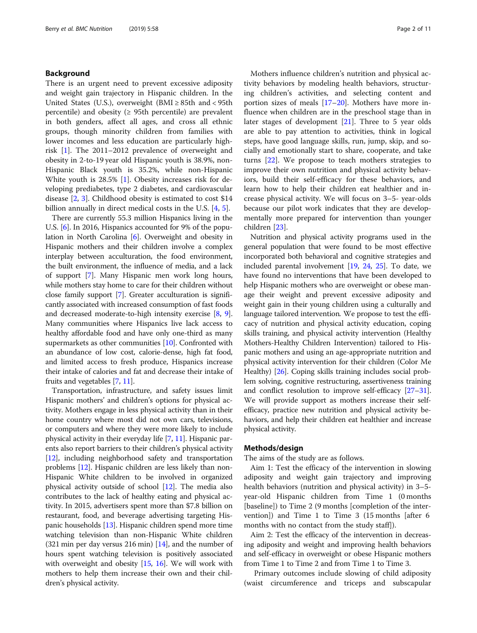## Background

There is an urgent need to prevent excessive adiposity and weight gain trajectory in Hispanic children. In the United States (U.S.), overweight (BMI  $\geq$  85th and < 95th percentile) and obesity ( $\geq$  95th percentile) are prevalent in both genders, affect all ages, and cross all ethnic groups, though minority children from families with lower incomes and less education are particularly highrisk [\[1](#page-9-0)]. The 2011–2012 prevalence of overweight and obesity in 2-to-19 year old Hispanic youth is 38.9%, non-Hispanic Black youth is 35.2%, while non-Hispanic White youth is 28.5% [[1\]](#page-9-0). Obesity increases risk for developing prediabetes, type 2 diabetes, and cardiovascular disease [[2](#page-9-0), [3\]](#page-9-0). Childhood obesity is estimated to cost \$14 billion annually in direct medical costs in the U.S. [\[4](#page-9-0), [5](#page-9-0)].

There are currently 55.3 million Hispanics living in the U.S. [[6](#page-9-0)]. In 2016, Hispanics accounted for 9% of the population in North Carolina [\[6\]](#page-9-0). Overweight and obesity in Hispanic mothers and their children involve a complex interplay between acculturation, the food environment, the built environment, the influence of media, and a lack of support [\[7](#page-9-0)]. Many Hispanic men work long hours, while mothers stay home to care for their children without close family support [\[7](#page-9-0)]. Greater acculturation is significantly associated with increased consumption of fast foods and decreased moderate-to-high intensity exercise [[8](#page-9-0), [9](#page-9-0)]. Many communities where Hispanics live lack access to healthy affordable food and have only one-third as many supermarkets as other communities [\[10\]](#page-9-0). Confronted with an abundance of low cost, calorie-dense, high fat food, and limited access to fresh produce, Hispanics increase their intake of calories and fat and decrease their intake of fruits and vegetables [[7,](#page-9-0) [11\]](#page-9-0).

Transportation, infrastructure, and safety issues limit Hispanic mothers' and children's options for physical activity. Mothers engage in less physical activity than in their home country where most did not own cars, televisions, or computers and where they were more likely to include physical activity in their everyday life [\[7,](#page-9-0) [11](#page-9-0)]. Hispanic parents also report barriers to their children's physical activity [[12](#page-9-0)], including neighborhood safety and transportation problems [\[12](#page-9-0)]. Hispanic children are less likely than non-Hispanic White children to be involved in organized physical activity outside of school  $[12]$  $[12]$ . The media also contributes to the lack of healthy eating and physical activity. In 2015, advertisers spent more than \$7.8 billion on restaurant, food, and beverage advertising targeting Hispanic households [[13](#page-9-0)]. Hispanic children spend more time watching television than non-Hispanic White children (321 min per day versus 216 min) [\[14\]](#page-9-0), and the number of hours spent watching television is positively associated with overweight and obesity [\[15,](#page-9-0) [16](#page-9-0)]. We will work with mothers to help them increase their own and their children's physical activity.

Mothers influence children's nutrition and physical activity behaviors by modeling health behaviors, structuring children's activities, and selecting content and portion sizes of meals  $[17–20]$  $[17–20]$  $[17–20]$  $[17–20]$  $[17–20]$ . Mothers have more influence when children are in the preschool stage than in later stages of development [\[21](#page-9-0)]. Three to 5 year olds are able to pay attention to activities, think in logical steps, have good language skills, run, jump, skip, and socially and emotionally start to share, cooperate, and take turns [[22\]](#page-9-0). We propose to teach mothers strategies to improve their own nutrition and physical activity behaviors, build their self-efficacy for these behaviors, and learn how to help their children eat healthier and increase physical activity. We will focus on 3–5- year-olds because our pilot work indicates that they are developmentally more prepared for intervention than younger children [\[23](#page-9-0)].

Nutrition and physical activity programs used in the general population that were found to be most effective incorporated both behavioral and cognitive strategies and included parental involvement [\[19,](#page-9-0) [24,](#page-9-0) [25\]](#page-9-0). To date, we have found no interventions that have been developed to help Hispanic mothers who are overweight or obese manage their weight and prevent excessive adiposity and weight gain in their young children using a culturally and language tailored intervention. We propose to test the efficacy of nutrition and physical activity education, coping skills training, and physical activity intervention (Healthy Mothers-Healthy Children Intervention) tailored to Hispanic mothers and using an age-appropriate nutrition and physical activity intervention for their children (Color Me Healthy) [[26](#page-9-0)]. Coping skills training includes social problem solving, cognitive restructuring, assertiveness training and conflict resolution to improve self-efficacy [\[27](#page-9-0)–[31](#page-9-0)]. We will provide support as mothers increase their selfefficacy, practice new nutrition and physical activity behaviors, and help their children eat healthier and increase physical activity.

## Methods/design

The aims of the study are as follows.

Aim 1: Test the efficacy of the intervention in slowing adiposity and weight gain trajectory and improving health behaviors (nutrition and physical activity) in 3–5 year-old Hispanic children from Time 1 (0 months [baseline]) to Time 2 (9 months [completion of the intervention]) and Time 1 to Time 3 (15 months [after 6 months with no contact from the study staff]).

Aim 2: Test the efficacy of the intervention in decreasing adiposity and weight and improving health behaviors and self-efficacy in overweight or obese Hispanic mothers from Time 1 to Time 2 and from Time 1 to Time 3.

Primary outcomes include slowing of child adiposity (waist circumference and triceps and subscapular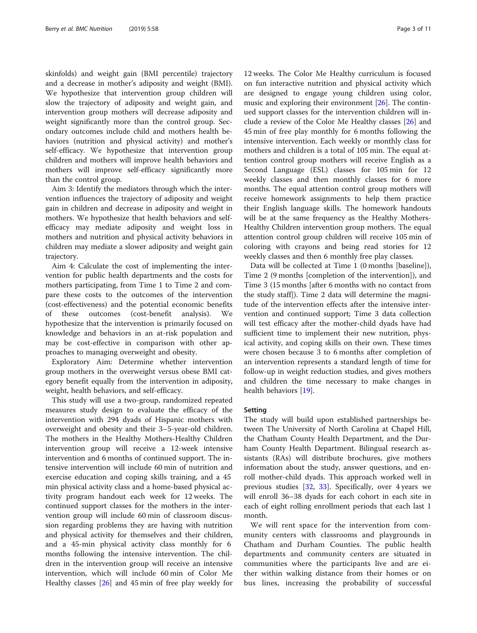skinfolds) and weight gain (BMI percentile) trajectory and a decrease in mother's adiposity and weight (BMI). We hypothesize that intervention group children will slow the trajectory of adiposity and weight gain, and intervention group mothers will decrease adiposity and weight significantly more than the control group. Secondary outcomes include child and mothers health behaviors (nutrition and physical activity) and mother's self-efficacy. We hypothesize that intervention group children and mothers will improve health behaviors and mothers will improve self-efficacy significantly more than the control group.

Aim 3: Identify the mediators through which the intervention influences the trajectory of adiposity and weight gain in children and decrease in adiposity and weight in mothers. We hypothesize that health behaviors and selfefficacy may mediate adiposity and weight loss in mothers and nutrition and physical activity behaviors in children may mediate a slower adiposity and weight gain trajectory.

Aim 4: Calculate the cost of implementing the intervention for public health departments and the costs for mothers participating, from Time 1 to Time 2 and compare these costs to the outcomes of the intervention (cost-effectiveness) and the potential economic benefits of these outcomes (cost-benefit analysis). We hypothesize that the intervention is primarily focused on knowledge and behaviors in an at-risk population and may be cost-effective in comparison with other approaches to managing overweight and obesity.

Exploratory Aim: Determine whether intervention group mothers in the overweight versus obese BMI category benefit equally from the intervention in adiposity, weight, health behaviors, and self-efficacy.

This study will use a two-group, randomized repeated measures study design to evaluate the efficacy of the intervention with 294 dyads of Hispanic mothers with overweight and obesity and their 3–5-year-old children. The mothers in the Healthy Mothers-Healthy Children intervention group will receive a 12-week intensive intervention and 6 months of continued support. The intensive intervention will include 60 min of nutrition and exercise education and coping skills training, and a 45 min physical activity class and a home-based physical activity program handout each week for 12 weeks. The continued support classes for the mothers in the intervention group will include 60 min of classroom discussion regarding problems they are having with nutrition and physical activity for themselves and their children, and a 45-min physical activity class monthly for 6 months following the intensive intervention. The children in the intervention group will receive an intensive intervention, which will include 60 min of Color Me Healthy classes [[26\]](#page-9-0) and 45 min of free play weekly for

12 weeks. The Color Me Healthy curriculum is focused on fun interactive nutrition and physical activity which are designed to engage young children using color, music and exploring their environment  $[26]$  $[26]$  $[26]$ . The continued support classes for the intervention children will include a review of the Color Me Healthy classes [\[26\]](#page-9-0) and 45 min of free play monthly for 6 months following the intensive intervention. Each weekly or monthly class for mothers and children is a total of 105 min. The equal attention control group mothers will receive English as a Second Language (ESL) classes for 105 min for 12 weekly classes and then monthly classes for 6 more months. The equal attention control group mothers will receive homework assignments to help them practice their English language skills. The homework handouts will be at the same frequency as the Healthy Mothers-Healthy Children intervention group mothers. The equal attention control group children will receive 105 min of coloring with crayons and being read stories for 12 weekly classes and then 6 monthly free play classes.

Data will be collected at Time 1 (0 months [baseline]), Time 2 (9 months [completion of the intervention]), and Time 3 (15 months [after 6 months with no contact from the study staff]). Time 2 data will determine the magnitude of the intervention effects after the intensive intervention and continued support; Time 3 data collection will test efficacy after the mother-child dyads have had sufficient time to implement their new nutrition, physical activity, and coping skills on their own. These times were chosen because 3 to 6 months after completion of an intervention represents a standard length of time for follow-up in weight reduction studies, and gives mothers and children the time necessary to make changes in health behaviors [[19\]](#page-9-0).

#### Setting

The study will build upon established partnerships between The University of North Carolina at Chapel Hill, the Chatham County Health Department, and the Durham County Health Department. Bilingual research assistants (RAs) will distribute brochures, give mothers information about the study, answer questions, and enroll mother-child dyads. This approach worked well in previous studies [\[32](#page-9-0), [33](#page-9-0)]. Specifically, over 4 years we will enroll 36–38 dyads for each cohort in each site in each of eight rolling enrollment periods that each last 1 month.

We will rent space for the intervention from community centers with classrooms and playgrounds in Chatham and Durham Counties. The public health departments and community centers are situated in communities where the participants live and are either within walking distance from their homes or on bus lines, increasing the probability of successful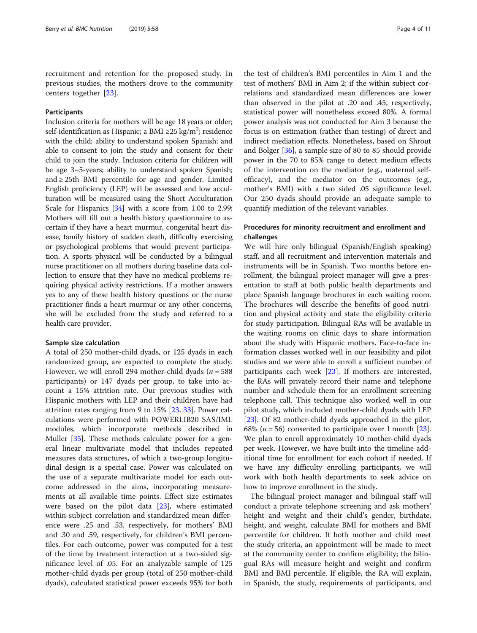recruitment and retention for the proposed study. In previous studies, the mothers drove to the community centers together [\[23](#page-9-0)].

## Participants

Inclusion criteria for mothers will be age 18 years or older; self-identification as Hispanic; a BMI ≥25 kg/m<sup>2</sup>; residence with the child; ability to understand spoken Spanish; and able to consent to join the study and consent for their child to join the study. Inclusion criteria for children will be age 3–5-years; ability to understand spoken Spanish; and  $\geq$  25th BMI percentile for age and gender. Limited English proficiency (LEP) will be assessed and low acculturation will be measured using the Short Acculturation Scale for Hispanics [\[34\]](#page-9-0) with a score from 1.00 to 2.99; Mothers will fill out a health history questionnaire to ascertain if they have a heart murmur, congenital heart disease, family history of sudden death, difficulty exercising or psychological problems that would prevent participation. A sports physical will be conducted by a bilingual nurse practitioner on all mothers during baseline data collection to ensure that they have no medical problems requiring physical activity restrictions. If a mother answers yes to any of these health history questions or the nurse practitioner finds a heart murmur or any other concerns, she will be excluded from the study and referred to a health care provider.

#### Sample size calculation

A total of 250 mother-child dyads, or 125 dyads in each randomized group, are expected to complete the study. However, we will enroll 294 mother-child dyads ( $n = 588$ ) participants) or 147 dyads per group, to take into account a 15% attrition rate. Our previous studies with Hispanic mothers with LEP and their children have had attrition rates ranging from 9 to 15% [[23,](#page-9-0) [33\]](#page-9-0). Power calculations were performed with POWERLIB20 SAS/IML modules, which incorporate methods described in Muller [[35](#page-9-0)]. These methods calculate power for a general linear multivariate model that includes repeated measures data structures, of which a two-group longitudinal design is a special case. Power was calculated on the use of a separate multivariate model for each outcome addressed in the aims, incorporating measurements at all available time points. Effect size estimates were based on the pilot data [[23\]](#page-9-0), where estimated within-subject correlation and standardized mean difference were .25 and .53, respectively, for mothers' BMI and .30 and .59, respectively, for children's BMI percentiles. For each outcome, power was computed for a test of the time by treatment interaction at a two-sided significance level of .05. For an analyzable sample of 125 mother-child dyads per group (total of 250 mother-child dyads), calculated statistical power exceeds 95% for both

the test of children's BMI percentiles in Aim 1 and the test of mothers' BMI in Aim 2; if the within subject correlations and standardized mean differences are lower than observed in the pilot at .20 and .45, respectively, statistical power will nonetheless exceed 80%. A formal power analysis was not conducted for Aim 3 because the focus is on estimation (rather than testing) of direct and indirect mediation effects. Nonetheless, based on Shrout and Bolger [\[36\]](#page-9-0), a sample size of 80 to 85 should provide power in the 70 to 85% range to detect medium effects of the intervention on the mediator (e.g., maternal selfefficacy), and the mediator on the outcomes (e.g., mother's BMI) with a two sided .05 significance level. Our 250 dyads should provide an adequate sample to quantify mediation of the relevant variables.

## Procedures for minority recruitment and enrollment and challenges

We will hire only bilingual (Spanish/English speaking) staff, and all recruitment and intervention materials and instruments will be in Spanish. Two months before enrollment, the bilingual project manager will give a presentation to staff at both public health departments and place Spanish language brochures in each waiting room. The brochures will describe the benefits of good nutrition and physical activity and state the eligibility criteria for study participation. Bilingual RAs will be available in the waiting rooms on clinic days to share information about the study with Hispanic mothers. Face-to-face information classes worked well in our feasibility and pilot studies and we were able to enroll a sufficient number of participants each week [\[23](#page-9-0)]. If mothers are interested, the RAs will privately record their name and telephone number and schedule them for an enrollment screening telephone call. This technique also worked well in our pilot study, which included mother-child dyads with LEP [[23\]](#page-9-0). Of 82 mother-child dyads approached in the pilot, 68% ( $n = 56$ ) consented to participate over 1 month [\[23](#page-9-0)]. We plan to enroll approximately 10 mother-child dyads per week. However, we have built into the timeline additional time for enrollment for each cohort if needed. If we have any difficulty enrolling participants, we will work with both health departments to seek advice on how to improve enrollment in the study.

The bilingual project manager and bilingual staff will conduct a private telephone screening and ask mothers' height and weight and their child's gender, birthdate, height, and weight, calculate BMI for mothers and BMI percentile for children. If both mother and child meet the study criteria, an appointment will be made to meet at the community center to confirm eligibility; the bilingual RAs will measure height and weight and confirm BMI and BMI percentile. If eligible, the RA will explain, in Spanish, the study, requirements of participants, and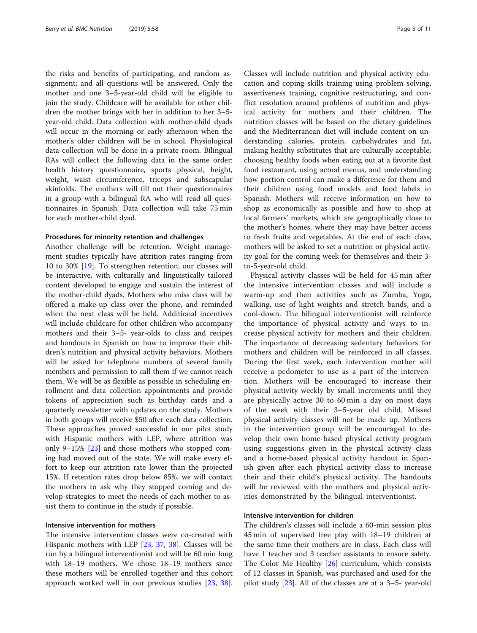the risks and benefits of participating, and random assignment; and all questions will be answered. Only the mother and one 3–5-year-old child will be eligible to join the study. Childcare will be available for other children the mother brings with her in addition to her 3–5 year-old child. Data collection with mother-child dyads will occur in the morning or early afternoon when the mother's older children will be in school. Physiological data collection will be done in a private room. Bilingual RAs will collect the following data in the same order: health history questionnaire, sports physical, height, weight, waist circumference, triceps and subscapular skinfolds. The mothers will fill out their questionnaires in a group with a bilingual RA who will read all questionnaires in Spanish. Data collection will take 75 min for each mother-child dyad.

#### Procedures for minority retention and challenges

Another challenge will be retention. Weight management studies typically have attrition rates ranging from 10 to 30% [[19\]](#page-9-0). To strengthen retention, our classes will be interactive, with culturally and linguistically tailored content developed to engage and sustain the interest of the mother-child dyads. Mothers who miss class will be offered a make-up class over the phone, and reminded when the next class will be held. Additional incentives will include childcare for other children who accompany mothers and their 3–5- year-olds to class and recipes and handouts in Spanish on how to improve their children's nutrition and physical activity behaviors. Mothers will be asked for telephone numbers of several family members and permission to call them if we cannot reach them. We will be as flexible as possible in scheduling enrollment and data collection appointments and provide tokens of appreciation such as birthday cards and a quarterly newsletter with updates on the study. Mothers in both groups will receive \$50 after each data collection. These approaches proved successful in our pilot study with Hispanic mothers with LEP, where attrition was only 9–15% [[23\]](#page-9-0) and those mothers who stopped coming had moved out of the state. We will make every effort to keep our attrition rate lower than the projected 15%. If retention rates drop below 85%, we will contact the mothers to ask why they stopped coming and develop strategies to meet the needs of each mother to assist them to continue in the study if possible.

## Intensive intervention for mothers

The intensive intervention classes were co-created with Hispanic mothers with LEP [\[23,](#page-9-0) [37,](#page-9-0) [38](#page-9-0)]. Classes will be run by a bilingual interventionist and will be 60 min long with 18–19 mothers. We chose 18–19 mothers since these mothers will be enrolled together and this cohort approach worked well in our previous studies [\[23,](#page-9-0) [38](#page-9-0)].

Classes will include nutrition and physical activity education and coping skills training using problem solving, assertiveness training, cognitive restructuring, and conflict resolution around problems of nutrition and physical activity for mothers and their children. The nutrition classes will be based on the dietary guidelines and the Mediterranean diet will include content on understanding calories, protein, carbohydrates and fat, making healthy substitutes that are culturally acceptable, choosing healthy foods when eating out at a favorite fast food restaurant, using actual menus, and understanding how portion control can make a difference for them and their children using food models and food labels in Spanish. Mothers will receive information on how to shop as economically as possible and how to shop at local farmers' markets, which are geographically close to the mother's homes, where they may have better access to fresh fruits and vegetables. At the end of each class, mothers will be asked to set a nutrition or physical activity goal for the coming week for themselves and their 3 to-5-year-old child.

Physical activity classes will be held for 45 min after the intensive intervention classes and will include a warm-up and then activities such as Zumba, Yoga, walking, use of light weights and stretch bands, and a cool-down. The bilingual interventionist will reinforce the importance of physical activity and ways to increase physical activity for mothers and their children. The importance of decreasing sedentary behaviors for mothers and children will be reinforced in all classes. During the first week, each intervention mother will receive a pedometer to use as a part of the intervention. Mothers will be encouraged to increase their physical activity weekly by small increments until they are physically active 30 to 60 min a day on most days of the week with their 3–5-year old child. Missed physical activity classes will not be made up. Mothers in the intervention group will be encouraged to develop their own home-based physical activity program using suggestions given in the physical activity class and a home-based physical activity handout in Spanish given after each physical activity class to increase their and their child's physical activity. The handouts will be reviewed with the mothers and physical activities demonstrated by the bilingual interventionist.

## Intensive intervention for children

The children's classes will include a 60-min session plus 45 min of supervised free play with 18–19 children at the same time their mothers are in class. Each class will have 1 teacher and 3 teacher assistants to ensure safety. The Color Me Healthy [\[26\]](#page-9-0) curriculum, which consists of 12 classes in Spanish, was purchased and used for the pilot study [\[23](#page-9-0)]. All of the classes are at a 3–5- year-old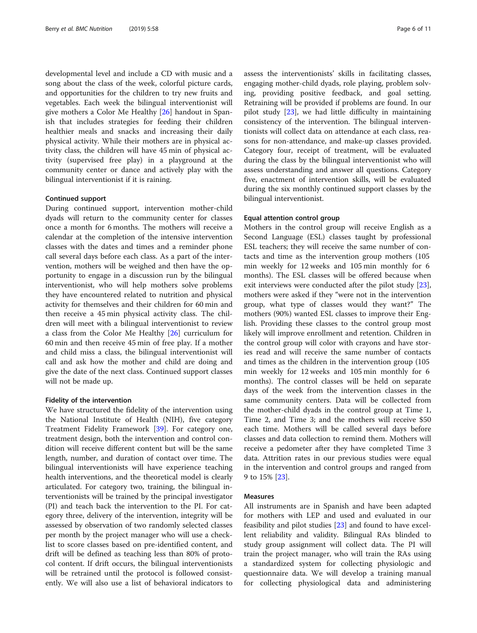developmental level and include a CD with music and a song about the class of the week, colorful picture cards, and opportunities for the children to try new fruits and vegetables. Each week the bilingual interventionist will give mothers a Color Me Healthy [\[26\]](#page-9-0) handout in Spanish that includes strategies for feeding their children healthier meals and snacks and increasing their daily physical activity. While their mothers are in physical activity class, the children will have 45 min of physical activity (supervised free play) in a playground at the community center or dance and actively play with the bilingual interventionist if it is raining.

## Continued support

During continued support, intervention mother-child dyads will return to the community center for classes once a month for 6 months. The mothers will receive a calendar at the completion of the intensive intervention classes with the dates and times and a reminder phone call several days before each class. As a part of the intervention, mothers will be weighed and then have the opportunity to engage in a discussion run by the bilingual interventionist, who will help mothers solve problems they have encountered related to nutrition and physical activity for themselves and their children for 60 min and then receive a 45 min physical activity class. The children will meet with a bilingual interventionist to review a class from the Color Me Healthy [\[26](#page-9-0)] curriculum for 60 min and then receive 45 min of free play. If a mother and child miss a class, the bilingual interventionist will call and ask how the mother and child are doing and give the date of the next class. Continued support classes will not be made up.

#### Fidelity of the intervention

We have structured the fidelity of the intervention using the National Institute of Health (NIH), five category Treatment Fidelity Framework [[39\]](#page-9-0). For category one, treatment design, both the intervention and control condition will receive different content but will be the same length, number, and duration of contact over time. The bilingual interventionists will have experience teaching health interventions, and the theoretical model is clearly articulated. For category two, training, the bilingual interventionists will be trained by the principal investigator (PI) and teach back the intervention to the PI. For category three, delivery of the intervention, integrity will be assessed by observation of two randomly selected classes per month by the project manager who will use a checklist to score classes based on pre-identified content, and drift will be defined as teaching less than 80% of protocol content. If drift occurs, the bilingual interventionists will be retrained until the protocol is followed consistently. We will also use a list of behavioral indicators to assess the interventionists' skills in facilitating classes, engaging mother-child dyads, role playing, problem solving, providing positive feedback, and goal setting. Retraining will be provided if problems are found. In our pilot study [[23\]](#page-9-0), we had little difficulty in maintaining consistency of the intervention. The bilingual interventionists will collect data on attendance at each class, reasons for non-attendance, and make-up classes provided. Category four, receipt of treatment, will be evaluated during the class by the bilingual interventionist who will assess understanding and answer all questions. Category five, enactment of intervention skills, will be evaluated during the six monthly continued support classes by the bilingual interventionist.

## Equal attention control group

Mothers in the control group will receive English as a Second Language (ESL) classes taught by professional ESL teachers; they will receive the same number of contacts and time as the intervention group mothers (105 min weekly for 12 weeks and 105 min monthly for 6 months). The ESL classes will be offered because when exit interviews were conducted after the pilot study [\[23](#page-9-0)], mothers were asked if they "were not in the intervention group, what type of classes would they want?" The mothers (90%) wanted ESL classes to improve their English. Providing these classes to the control group most likely will improve enrollment and retention. Children in the control group will color with crayons and have stories read and will receive the same number of contacts and times as the children in the intervention group (105 min weekly for 12 weeks and 105 min monthly for 6 months). The control classes will be held on separate days of the week from the intervention classes in the same community centers. Data will be collected from the mother-child dyads in the control group at Time 1, Time 2, and Time 3; and the mothers will receive \$50 each time. Mothers will be called several days before classes and data collection to remind them. Mothers will receive a pedometer after they have completed Time 3 data. Attrition rates in our previous studies were equal in the intervention and control groups and ranged from 9 to 15% [[23](#page-9-0)].

## Measures

All instruments are in Spanish and have been adapted for mothers with LEP and used and evaluated in our feasibility and pilot studies [\[23](#page-9-0)] and found to have excellent reliability and validity. Bilingual RAs blinded to study group assignment will collect data. The PI will train the project manager, who will train the RAs using a standardized system for collecting physiologic and questionnaire data. We will develop a training manual for collecting physiological data and administering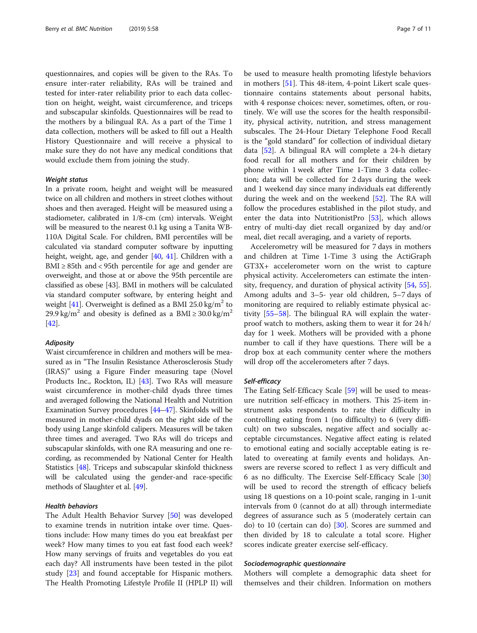questionnaires, and copies will be given to the RAs. To ensure inter-rater reliability, RAs will be trained and tested for inter-rater reliability prior to each data collection on height, weight, waist circumference, and triceps and subscapular skinfolds. Questionnaires will be read to the mothers by a bilingual RA. As a part of the Time 1 data collection, mothers will be asked to fill out a Health History Questionnaire and will receive a physical to make sure they do not have any medical conditions that would exclude them from joining the study.

## Weight status

In a private room, height and weight will be measured twice on all children and mothers in street clothes without shoes and then averaged. Height will be measured using a stadiometer, calibrated in 1/8-cm (cm) intervals. Weight will be measured to the nearest 0.1 kg using a Tanita WB-110A Digital Scale. For children, BMI percentiles will be calculated via standard computer software by inputting height, weight, age, and gender [[40](#page-9-0), [41\]](#page-9-0). Children with a BMI  $\geq$  85th and < 95th percentile for age and gender are overweight, and those at or above the 95th percentile are classified as obese [43]. BMI in mothers will be calculated via standard computer software, by entering height and weight [\[41\]](#page-9-0). Overweight is defined as a BMI 25.0 kg/m<sup>2</sup> to 29.9 kg/m<sup>2</sup> and obesity is defined as a BMI  $\geq$  30.0 kg/m<sup>2</sup> [[42](#page-9-0)].

## Adiposity

Waist circumference in children and mothers will be measured as in "The Insulin Resistance Atherosclerosis Study (IRAS)" using a Figure Finder measuring tape (Novel Products Inc., Rockton, IL) [\[43](#page-9-0)]. Two RAs will measure waist circumference in mother-child dyads three times and averaged following the National Health and Nutrition Examination Survey procedures [[44](#page-9-0)–[47\]](#page-9-0). Skinfolds will be measured in mother-child dyads on the right side of the body using Lange skinfold calipers. Measures will be taken three times and averaged. Two RAs will do triceps and subscapular skinfolds, with one RA measuring and one recording, as recommended by National Center for Health Statistics [\[48\]](#page-9-0). Triceps and subscapular skinfold thickness will be calculated using the gender-and race-specific methods of Slaughter et al. [\[49\]](#page-9-0).

## Health behaviors

The Adult Health Behavior Survey [\[50](#page-9-0)] was developed to examine trends in nutrition intake over time. Questions include: How many times do you eat breakfast per week? How many times to you eat fast food each week? How many servings of fruits and vegetables do you eat each day? All instruments have been tested in the pilot study [\[23\]](#page-9-0) and found acceptable for Hispanic mothers. The Health Promoting Lifestyle Profile II (HPLP II) will be used to measure health promoting lifestyle behaviors in mothers [[51\]](#page-9-0). This 48-item, 4-point Likert scale questionnaire contains statements about personal habits, with 4 response choices: never, sometimes, often, or routinely. We will use the scores for the health responsibility, physical activity, nutrition, and stress management subscales. The 24-Hour Dietary Telephone Food Recall is the "gold standard" for collection of individual dietary data [[52](#page-9-0)]. A bilingual RA will complete a 24-h dietary food recall for all mothers and for their children by phone within 1 week after Time 1-Time 3 data collection; data will be collected for 2 days during the week and 1 weekend day since many individuals eat differently during the week and on the weekend [\[52](#page-9-0)]. The RA will follow the procedures established in the pilot study, and enter the data into NutritionistPro [\[53](#page-10-0)], which allows entry of multi-day diet recall organized by day and/or meal, diet recall averaging, and a variety of reports.

Accelerometry will be measured for 7 days in mothers and children at Time 1-Time 3 using the ActiGraph GT3X+ accelerometer worn on the wrist to capture physical activity. Accelerometers can estimate the intensity, frequency, and duration of physical activity [\[54](#page-10-0), [55](#page-10-0)]. Among adults and 3–5- year old children, 5–7 days of monitoring are required to reliably estimate physical activity [\[55](#page-10-0)–[58\]](#page-10-0). The bilingual RA will explain the waterproof watch to mothers, asking them to wear it for 24 h/ day for 1 week. Mothers will be provided with a phone number to call if they have questions. There will be a drop box at each community center where the mothers will drop off the accelerometers after 7 days.

#### Self-efficacy

The Eating Self-Efficacy Scale [[59\]](#page-10-0) will be used to measure nutrition self-efficacy in mothers. This 25-item instrument asks respondents to rate their difficulty in controlling eating from 1 (no difficulty) to 6 (very difficult) on two subscales, negative affect and socially acceptable circumstances. Negative affect eating is related to emotional eating and socially acceptable eating is related to overeating at family events and holidays. Answers are reverse scored to reflect 1 as very difficult and 6 as no difficulty. The Exercise Self-Efficacy Scale [[30](#page-9-0)] will be used to record the strength of efficacy beliefs using 18 questions on a 10-point scale, ranging in 1-unit intervals from 0 (cannot do at all) through intermediate degrees of assurance such as 5 (moderately certain can do) to 10 (certain can do) [\[30\]](#page-9-0). Scores are summed and then divided by 18 to calculate a total score. Higher scores indicate greater exercise self-efficacy.

#### Sociodemographic questionnaire

Mothers will complete a demographic data sheet for themselves and their children. Information on mothers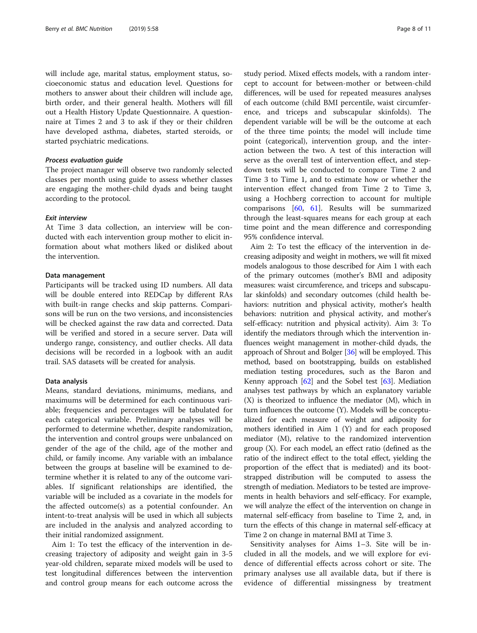will include age, marital status, employment status, socioeconomic status and education level. Questions for mothers to answer about their children will include age, birth order, and their general health. Mothers will fill out a Health History Update Questionnaire. A questionnaire at Times 2 and 3 to ask if they or their children have developed asthma, diabetes, started steroids, or started psychiatric medications.

## Process evaluation guide

The project manager will observe two randomly selected classes per month using guide to assess whether classes are engaging the mother-child dyads and being taught according to the protocol.

## Exit interview

At Time 3 data collection, an interview will be conducted with each intervention group mother to elicit information about what mothers liked or disliked about the intervention.

## Data management

Participants will be tracked using ID numbers. All data will be double entered into REDCap by different RAs with built-in range checks and skip patterns. Comparisons will be run on the two versions, and inconsistencies will be checked against the raw data and corrected. Data will be verified and stored in a secure server. Data will undergo range, consistency, and outlier checks. All data decisions will be recorded in a logbook with an audit trail. SAS datasets will be created for analysis.

#### Data analysis

Means, standard deviations, minimums, medians, and maximums will be determined for each continuous variable; frequencies and percentages will be tabulated for each categorical variable. Preliminary analyses will be performed to determine whether, despite randomization, the intervention and control groups were unbalanced on gender of the age of the child, age of the mother and child, or family income. Any variable with an imbalance between the groups at baseline will be examined to determine whether it is related to any of the outcome variables. If significant relationships are identified, the variable will be included as a covariate in the models for the affected outcome(s) as a potential confounder. An intent-to-treat analysis will be used in which all subjects are included in the analysis and analyzed according to their initial randomized assignment.

Aim 1: To test the efficacy of the intervention in decreasing trajectory of adiposity and weight gain in 3-5 year-old children, separate mixed models will be used to test longitudinal differences between the intervention and control group means for each outcome across the study period. Mixed effects models, with a random intercept to account for between-mother or between-child differences, will be used for repeated measures analyses of each outcome (child BMI percentile, waist circumference, and triceps and subscapular skinfolds). The dependent variable will be will be the outcome at each of the three time points; the model will include time point (categorical), intervention group, and the interaction between the two. A test of this interaction will serve as the overall test of intervention effect, and stepdown tests will be conducted to compare Time 2 and Time 3 to Time 1, and to estimate how or whether the intervention effect changed from Time 2 to Time 3, using a Hochberg correction to account for multiple comparisons [[60,](#page-10-0) [61\]](#page-10-0). Results will be summarized through the least-squares means for each group at each time point and the mean difference and corresponding 95% confidence interval.

Aim 2: To test the efficacy of the intervention in decreasing adiposity and weight in mothers, we will fit mixed models analogous to those described for Aim 1 with each of the primary outcomes (mother's BMI and adiposity measures: waist circumference, and triceps and subscapular skinfolds) and secondary outcomes (child health behaviors: nutrition and physical activity, mother's health behaviors: nutrition and physical activity, and mother's self-efficacy: nutrition and physical activity). Aim 3: To identify the mediators through which the intervention influences weight management in mother-child dyads, the approach of Shrout and Bolger [\[36\]](#page-9-0) will be employed. This method, based on bootstrapping, builds on established mediation testing procedures, such as the Baron and Kenny approach  $[62]$  $[62]$  $[62]$  and the Sobel test  $[63]$  $[63]$ . Mediation analyses test pathways by which an explanatory variable (X) is theorized to influence the mediator (M), which in turn influences the outcome (Y). Models will be conceptualized for each measure of weight and adiposity for mothers identified in Aim 1 (Y) and for each proposed mediator (M), relative to the randomized intervention group (X). For each model, an effect ratio (defined as the ratio of the indirect effect to the total effect, yielding the proportion of the effect that is mediated) and its bootstrapped distribution will be computed to assess the strength of mediation. Mediators to be tested are improvements in health behaviors and self-efficacy. For example, we will analyze the effect of the intervention on change in maternal self-efficacy from baseline to Time 2, and, in turn the effects of this change in maternal self-efficacy at Time 2 on change in maternal BMI at Time 3.

Sensitivity analyses for Aims 1–3. Site will be included in all the models, and we will explore for evidence of differential effects across cohort or site. The primary analyses use all available data, but if there is evidence of differential missingness by treatment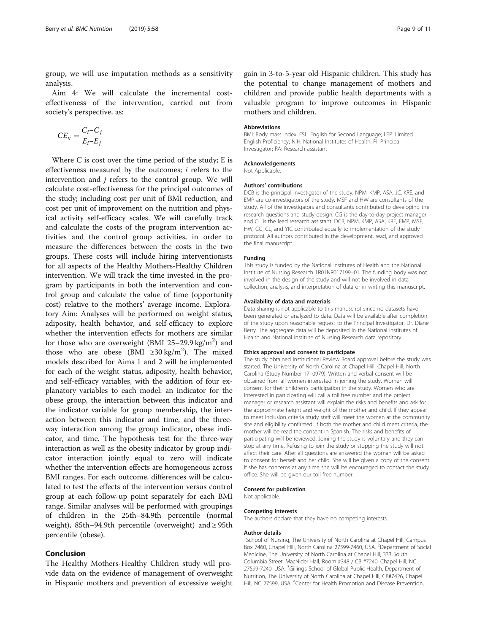group, we will use imputation methods as a sensitivity analysis.

Aim 4: We will calculate the incremental costeffectiveness of the intervention, carried out from society's perspective, as:

$$
CE_{ij} = \frac{C_i - C_j}{E_i - E_j}
$$

Where C is cost over the time period of the study; E is effectiveness measured by the outcomes;  $i$  refers to the intervention and  $j$  refers to the control group. We will calculate cost-effectiveness for the principal outcomes of the study; including cost per unit of BMI reduction, and cost per unit of improvement on the nutrition and physical activity self-efficacy scales. We will carefully track and calculate the costs of the program intervention activities and the control group activities, in order to measure the differences between the costs in the two groups. These costs will include hiring interventionists for all aspects of the Healthy Mothers-Healthy Children intervention. We will track the time invested in the program by participants in both the intervention and control group and calculate the value of time (opportunity cost) relative to the mothers' average income. Exploratory Aim: Analyses will be performed on weight status, adiposity, health behavior, and self-efficacy to explore whether the intervention effects for mothers are similar for those who are overweight (BMI  $25-29.9$  kg/m<sup>2</sup>) and those who are obese (BMI  $\geq 30 \text{ kg/m}^2$ ). The mixed models described for Aims 1 and 2 will be implemented for each of the weight status, adiposity, health behavior, and self-efficacy variables, with the addition of four explanatory variables to each model: an indicator for the obese group, the interaction between this indicator and the indicator variable for group membership, the interaction between this indicator and time, and the threeway interaction among the group indicator, obese indicator, and time. The hypothesis test for the three-way interaction as well as the obesity indicator by group indicator interaction jointly equal to zero will indicate whether the intervention effects are homogeneous across BMI ranges. For each outcome, differences will be calculated to test the effects of the intervention versus control group at each follow-up point separately for each BMI range. Similar analyses will be performed with groupings of children in the 25th–84.9th percentile (normal weight), 85th–94.9th percentile (overweight) and ≥ 95th percentile (obese).

## Conclusion

The Healthy Mothers-Healthy Children study will provide data on the evidence of management of overweight in Hispanic mothers and prevention of excessive weight

gain in 3-to-5-year old Hispanic children. This study has the potential to change management of mothers and children and provide public health departments with a valuable program to improve outcomes in Hispanic mothers and children.

#### Abbreviations

BMI: Body mass index; ESL: English for Second Language; LEP: Limited English Proficiency; NIH: National Institutes of Health; PI: Principal Investigator; RA: Research assistant

## Acknowledgements

Not Applicable.

#### Authors' contributions

DCB is the principal investigator of the study. NPM, KMP, ASA, JC, KRE, and EMP are co-investigators of the study. MSF and HW are consultants of the study. All of the investigators and consultants contributed to developing the research questions and study design. CG is the day-to-day project manager and CL is the lead research assistant. DCB, NPM, KMP, ASA, KRE, EMP, MSF, HW, CG, CL, and YIC contributed equally to implementation of the study protocol. All authors contributed in the development, read, and approved the final manuscript.

#### Funding

This study is funded by the National Institutes of Health and the National Institute of Nursing Research 1R01NR017199–01. The funding body was not involved in the design of the study and will not be involved in data collection, analysis, and interpretation of data or in writing this manuscript.

#### Availability of data and materials

Data sharing is not applicable to this manuscript since no datasets have been generated or analyzed to date. Data will be available after completion of the study upon reasonable request to the Principal Investigator, Dr. Diane Berry. The aggregate data will be deposited in the National Institutes of Health and National Institute of Nursing Research data repository.

#### Ethics approval and consent to participate

The study obtained Institutional Review Board approval before the study was started. The University of North Carolina at Chapel Hill, Chapel Hill, North Carolina (Study Number 17–0979). Written and verbal consent will be obtained from all women interested in joining the study. Women will consent for their children's participation in the study. Women who are interested in participating will call a toll free number and the project manager or research assistant will explain the risks and benefits and ask for the approximate height and weight of the mother and child. If they appear to meet inclusion criteria study staff will meet the women at the community site and eligibility confirmed. If both the mother and child meet criteria, the mother will be read the consent in Spanish. The risks and benefits of participating will be reviewed. Joining the study is voluntary and they can stop at any time. Refusing to join the study or stopping the study will not affect their care. After all questions are answered the woman will be asked to consent for herself and her child. She will be given a copy of the consent. If she has concerns at any time she will be encouraged to contact the study office. She will be given our toll free number.

#### Consent for publication

Not applicable.

#### Competing interests

The authors declare that they have no competing interests.

#### Author details

<sup>1</sup>School of Nursing, The University of North Carolina at Chapel Hill, Campus Box 7460, Chapel Hill, North Carolina 27599-7460, USA. <sup>2</sup>Department of Social Medicine, The University of North Carolina at Chapel Hill, 333 South Columbia Street, MacNider Hall, Room #348 / CB #7240, Chapel Hill, NC 27599-7240, USA. <sup>3</sup>Gillings School of Global Public Health, Department of Nutrition, The University of North Carolina at Chapel Hill, CB#7426, Chapel Hill, NC 27599, USA. <sup>4</sup>Center for Health Promotion and Disease Prevention,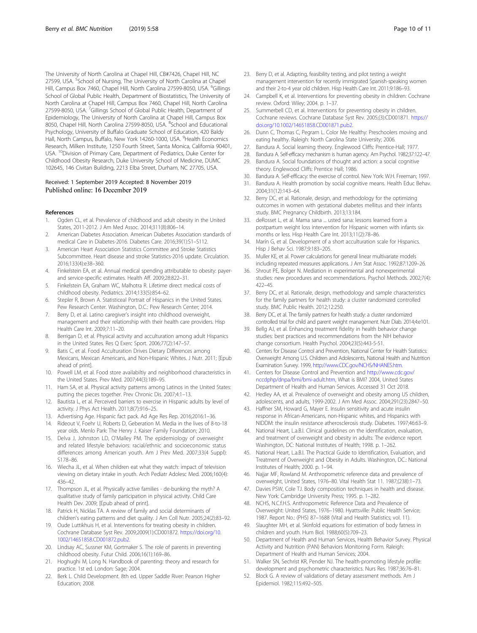<span id="page-9-0"></span>The University of North Carolina at Chapel Hill, CB#7426, Chapel Hill, NC 27599, USA. <sup>S</sup>School of Nursing, The University of North Carolina at Chapel Hill, Campus Box 7460, Chapel Hill, North Carolina 27599-8050, USA. <sup>6</sup>Gillings School of Global Public Health, Department of Biostatistics, The University of North Carolina at Chapel Hill, Campus Box 7460, Chapel Hill, North Carolina 27599-8050, USA. <sup>7</sup>Gillings School of Global Public Health, Department of Epidemiology, The University of North Carolina at Chapel Hill, Campus Box 8050, Chapel Hill, North Carolina 27599-8050, USA. <sup>8</sup>School and Educational Psychology, University of Buffalo Graduate School of Education, 420 Baldy Hall, North Campus, Buffalo, New York 14260-1000, USA. <sup>9</sup>Health Economics Research, Milken Institute, 1250 Fourth Street, Santa Monica, California 90401, USA. <sup>10</sup>Division of Primary Care, Department of Pediatrics, Duke Center for Childhood Obesity Research, Duke University School of Medicine, DUMC 102645, 146 Civitan Building, 2213 Elba Street, Durham, NC 27705, USA.

#### Received: 1 September 2019 Accepted: 8 November 2019 Published online: 16 December 2019

#### References

- 1. Ogden CL, et al. Prevalence of childhood and adult obesity in the United States, 2011-2012. J Am Med Assoc. 2014;311(8):806–14.
- 2. American Diabetes Association. American Diabetes Association standards of medical Care in Diabetes-2016. Diabetes Care. 2016;39(1):S1–S112.
- 3. American Heart Association Statistics Committee and Stroke Statistics Subcommittee. Heart disease and stroke Statistics-2016 update. Circulation. 2016;133(4):e38–360.
- 4. Finkelstein EA, et al. Annual medical spending attributable to obesity: payerand service-specific estimates. Health Aff. 2009;28:822–31.
- 5. Finkelstein EA, Graham WC, Malhotra R. Lifetime direct medical costs of childhood obesity. Pediatrics. 2014;133(5):854–62.
- 6. Stepler R, Brown A. Statisticeal Portrait of Hispanics in the United States. Pew Research Center. Washington, D.C.: Pew Research Center; 2014.
- 7. Berry D, et al. Latino caregiver's insight into childhood overweight, management and their relationship with their health care providers. Hisp Health Care Int. 2009;7:11–20.
- 8. Berrigan D, et al. Physical activity and acculturation among adult Hispanics in the United States. Res Q Exerc Sport. 2006;77(2):147–57.
- 9. Batis C, et al. Food Acculturation Drives Dietary Differences among Mexicans, Mexican Americans, and Non-Hispanic Whites. J Nutr. 2011; [Epub ahead of print].
- 10. Powell LM, et al. Food store availabiltiy and neighborhood characteristics in the United States. Prev Med. 2007;44(3):189–95.
- 11. Ham SA, et al. Physical activity patterns among Latinos in the United States: putting the pieces together. Prev Chronic Dis. 2007;4:1–13.
- 12. Bautista L, et al. Perceived barriers to exercise in Hispanic adults by level of activity. J Phys Act Health. 2011;8(7):916–25.
- 13. Advertising Age. Hispanic fact pack. Ad Age Res Rep. 2016;2016:1–36.
- 14. Rideout V, Foehr U, Roberts D, Geberation M. Media in the lives of 8-to-18 year olds. Menlo Park: The Henry J. Kaiser Family Foundation; 2010.
- 15. Delva J, Johnston LD, O'Malley PM. The epidemiology of overweight and related lifestyle behaviors: racial/ethnic and socioeconomic status differences among American youth. Am J Prev Med. 2007;33(4 Suppl): S178–86.
- 16. Wiecha JL, et al. When children eat what they watch: impact of television viewing on dietary intake in youth. Arch Pediatr Adolesc Med. 2006;160(4): 436–42.
- 17. Thompson JL, et al. Physically active families de-bunking the myth? A qualitative study of family participation in physical activity. Child Care Health Dev. 2009; [Epub ahead of print].
- 18. Patrick H, Nicklas TA. A review of family and social determinants of children's eating patterns and diet quality. J Am Coll Nutr. 2005;24(2):83–92.
- 19. Oude Luttikhuis H, et al. Interventions for treating obesity in children. Cochrane Database Syst Rev. 2009;2009(1):CD001872. [https://doi.org/10.](https://doi.org/10.1002/14651858.CD001872.pub2) [1002/14651858.CD001872.pub2](https://doi.org/10.1002/14651858.CD001872.pub2).
- 20. Lindsay AC, Sussner KM, Gortmaker S. The role of parents in preventing childhood obesity. Futur Child. 2006;16(1):169–86.
- 21. Hoghughi M, Long N. Handbook of parenting: theory and research for practice. 1st ed. London: Sage; 2004.
- 22. Berk L. Child Development. 8th ed. Upper Saddle River: Pearson Higher Education; 2008.
- 23. Berry D, et al. Adapting, feasibility testing, and pilot testing a weight management intervention for recently immigrated Spanish-speaking women and their 2-to-4 year old children. Hisp Health Care Int. 2011;9:186–93.
- 24. Campbell K, et al. Interventions for preventing obesity in children: Cochrane review. Oxford: Wiley; 2004. p. 1–37.
- 25. Summerbell CD, et al. Interventions for preventing obesity in children. Cochrane reviews. Cochrane Database Syst Rev. 2005;(3):CD001871. [https://](https://doi.org/10.1002/14651858.CD001871.pub2) [doi.org/10.1002/14651858.CD001871.pub2.](https://doi.org/10.1002/14651858.CD001871.pub2)
- 26. Dunn C, Thomas C, Pegram L. Color Me Healthy: Preschoolers moving and eating healthy. Raleigh: North Carolina State University; 2006.
- 27. Bandura A. Social learning theory. Englewood Cliffs: Prentice-Hall; 1977.
- 28. Bandura A. Self-efficacy mechanism is human agency. Am Psychol. 1982;37:122–47.
- 29. Bandura A. Social foundations of thought and action: a social cognitive theory. Englewood Cliffs: Prentice Hall; 1986.
- 30. Bandura A. Self-efficacy: the exercise of control. New York: W.H. Freeman; 1997.
- 31. Bandura A. Health promotion by social cognitive means. Health Educ Behav. 2004;31(12):143–64.
- 32. Berry DC, et al. Rationale, design, and methodology for the optimizing outcomes in women with gestational diabetes mellitus and their infants study. BMC Pregnancy Childbirth. 2013;13:184.
- 33. deRosset L, et al. Mama sana ... usted sana: lessons learned from a postpartum weight loss intervention for Hispanic women with infants six months or less. Hisp Health Care Int. 2013;11(2):78–86.
- 34. Marín G, et al. Development of a short acculturation scale for Hispanics. Hisp J Behav Sci. 1987;9:183–205.
- 35. Muller KE, et al. Power calculations for general linear multivariate models including repeated measures applications. J Am Stat Assoc. 1992;87:1209–26.
- 36. Shrout PE, Bolger N. Mediation in experimental and nonexperimental studies: new procedures and recommendations. Psychol Methods. 2002;7(4): 422–45.
- 37. Berry DC, et al. Rationale, design, methodology and sample characteristics for the family partners for health study: a cluster randomized controlled study. BMC Public Health. 2012;12:250.
- 38. Berry DC, et al. The family partners for health study: a cluster randomized controlled trial for child and parent weight management. Nutr Diab. 2014;4:e101.
- 39. Bellg AJ, et al. Enhancing treatment fidelity in health behavior change studies: best practices and recommendations from the NIH behavior change consortium. Health Psychol. 2004;23(5):443-5-51.
- 40. Centers for Disease Control and Prevention, National Center for Health Statistics: Overweight Among U.S. Children and Adolescents, National Health and Nutrition Examination Survey. 1999, [http://www.CDC.gov/NCHS/NHANES.htm.](http://www.cdc.gov/NCHS/NHANES.htm)
- 41. Centers for Disease Control and Prevention and [http://www.cdc.gov/](http://www.cdc.gov/nccdphp/dnpa/bmi/bmi-adult.htm) [nccdphp/dnpa/bmi/bmi-adult.htm,](http://www.cdc.gov/nccdphp/dnpa/bmi/bmi-adult.htm) What is BMI? 2004, United States Department of Health and Human Services. Accessed 31 Oct 2018.
- 42. Hedley AA, et al. Prevalence of overweight and obesity among US children, adolescents, and adults, 1999-2002. J Am Med Assoc. 2004;291(23):2847–50.
- 43. Haffner SM, Howard G, Mayer E. Insulin sensitivity and acute insulin response in African-Americans, non-Hispanic whites, and Hispanics with NIDDM: the insulin resistance atherosclerosis study. Diabetes. 1997;46:63–9.
- 44. National Heart, L.a.B.I. Clinical guidelines on the identification, evaluation, and treatment of overweight and obesity in adults: The evidence report. Washington, DC: National Institutes of Health; 1998. p. 1–262.
- 45. National Heart, L.a.B.I. The Practical Guide to Identification, Evaluation, and Treatment of Overweight and Obesity in Adults. Washington, DC.: National Institutes of Health; 2000. p. 1–94.
- 46. Najjar MF, Rowland M. Anthropometric reference data and prevalence of overweight, United States, 1976–80. Vital Health Stat 11. 1987;(238):1–73.
- 47. Davies PSW, Cole TJ. Body composition techniques in health and disease. New York: Cambridge University Press; 1995. p. 1–282.
- 48. NCHS, N.C.f.H.S. Anthropometric Reference Data and Prevalence of Overweight: United States, 1976–1980. Hyattsville: Public Health Service; 1987. Report No.: (PHS) 87–1688 (Vital and Health Statistics; vol. 11).
- 49. Slaughter MH, et al. Skinfold equations for estimation of body fatness in children and youth. Hum Biol. 1988;60(5):709–23.
- 50. Department of Health and Human Services, Health Behavior Survey. Physical Activity and Nutrition (PAN) Behaviors Monitoring Form. Raleigh: Department of Health and Human Services; 2004.
- 51. Walker SN, Sechrist KR, Pender NJ. The health-promoting lifestyle profile: development and psychometric characteristics. Nurs Res. 1987;36:76–81.
- 52. Block G. A review of validations of dietary assessment methods. Am J Epidemiol. 1982;115:492–505.